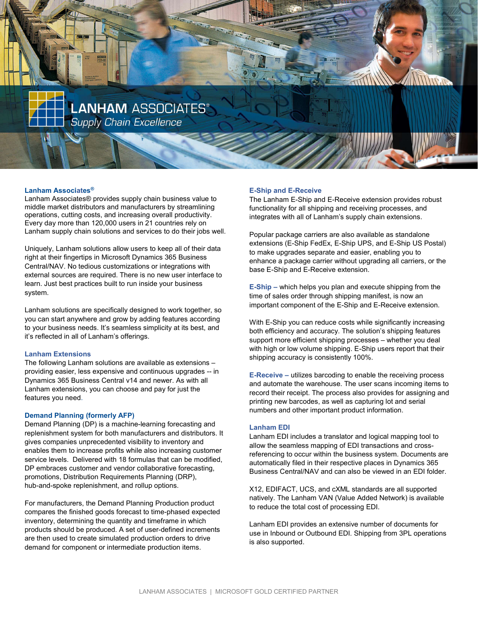

# Lanham Associates®

Lanham Associates® provides supply chain business value to middle market distributors and manufacturers by streamlining operations, cutting costs, and increasing overall productivity. Every day more than 120,000 users in 21 countries rely on Lanham supply chain solutions and services to do their jobs well.

Uniquely, Lanham solutions allow users to keep all of their data right at their fingertips in Microsoft Dynamics 365 Business Central/NAV. No tedious customizations or integrations with external sources are required. There is no new user interface to learn. Just best practices built to run inside your business system.

Lanham solutions are specifically designed to work together, so you can start anywhere and grow by adding features according to your business needs. It's seamless simplicity at its best, and it's reflected in all of Lanham's offerings.

## Lanham Extensions

The following Lanham solutions are available as extensions – providing easier, less expensive and continuous upgrades -- in Dynamics 365 Business Central v14 and newer. As with all Lanham extensions, you can choose and pay for just the features you need.

#### Demand Planning (formerly AFP)

Demand Planning (DP) is a machine-learning forecasting and replenishment system for both manufacturers and distributors. It gives companies unprecedented visibility to inventory and enables them to increase profits while also increasing customer service levels. Delivered with 18 formulas that can be modified, DP embraces customer and vendor collaborative forecasting, promotions, Distribution Requirements Planning (DRP), hub-and-spoke replenishment, and rollup options.

For manufacturers, the Demand Planning Production product compares the finished goods forecast to time-phased expected inventory, determining the quantity and timeframe in which products should be produced. A set of user-defined increments are then used to create simulated production orders to drive demand for component or intermediate production items.

#### E-Ship and E-Receive

The Lanham E-Ship and E-Receive extension provides robust functionality for all shipping and receiving processes, and integrates with all of Lanham's supply chain extensions.

Popular package carriers are also available as standalone extensions (E-Ship FedEx, E-Ship UPS, and E-Ship US Postal) to make upgrades separate and easier, enabling you to enhance a package carrier without upgrading all carriers, or the base E-Ship and E-Receive extension.

E-Ship – which helps you plan and execute shipping from the time of sales order through shipping manifest, is now an important component of the E-Ship and E-Receive extension.

With E-Ship you can reduce costs while significantly increasing both efficiency and accuracy. The solution's shipping features support more efficient shipping processes – whether you deal with high or low volume shipping. E-Ship users report that their shipping accuracy is consistently 100%.

E-Receive – utilizes barcoding to enable the receiving process and automate the warehouse. The user scans incoming items to record their receipt. The process also provides for assigning and printing new barcodes, as well as capturing lot and serial numbers and other important product information.

#### Lanham EDI

Lanham EDI includes a translator and logical mapping tool to allow the seamless mapping of EDI transactions and crossreferencing to occur within the business system. Documents are automatically filed in their respective places in Dynamics 365 Business Central/NAV and can also be viewed in an EDI folder.

X12, EDIFACT, UCS, and cXML standards are all supported natively. The Lanham VAN (Value Added Network) is available to reduce the total cost of processing EDI.

Lanham EDI provides an extensive number of documents for use in Inbound or Outbound EDI. Shipping from 3PL operations is also supported.